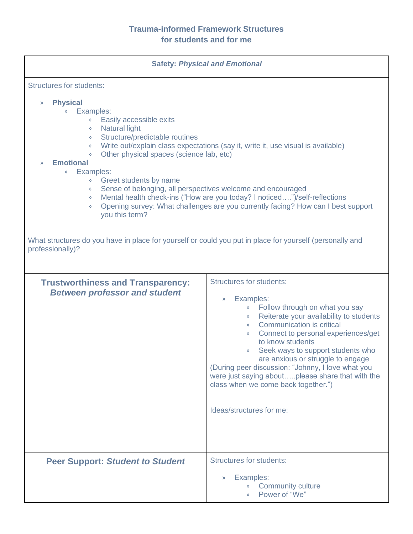| <b>Safety: Physical and Emotional</b>                                                                                                                                                                                                                                                                                                                                                                                                                                                                                                                                                                                                                                                                    |                                                                                                                                                                                                                                                                                                                                                                                                                                                                                                                                                  |  |
|----------------------------------------------------------------------------------------------------------------------------------------------------------------------------------------------------------------------------------------------------------------------------------------------------------------------------------------------------------------------------------------------------------------------------------------------------------------------------------------------------------------------------------------------------------------------------------------------------------------------------------------------------------------------------------------------------------|--------------------------------------------------------------------------------------------------------------------------------------------------------------------------------------------------------------------------------------------------------------------------------------------------------------------------------------------------------------------------------------------------------------------------------------------------------------------------------------------------------------------------------------------------|--|
| <b>Structures for students:</b><br><b>Physical</b><br>$\mathcal{Y}$                                                                                                                                                                                                                                                                                                                                                                                                                                                                                                                                                                                                                                      |                                                                                                                                                                                                                                                                                                                                                                                                                                                                                                                                                  |  |
| Examples:<br>Easily accessible exits<br>$\Diamond$<br><b>Natural light</b><br>$\Diamond$<br>Structure/predictable routines<br>$\Diamond$<br>Write out/explain class expectations (say it, write it, use visual is available)<br>$\Diamond$<br>Other physical spaces (science lab, etc)<br>$\Diamond$<br><b>Emotional</b><br>$\mathcal{Y}$<br>Examples:<br>$\Diamond$<br>Greet students by name<br>$\Diamond$<br>Sense of belonging, all perspectives welcome and encouraged<br>$\Diamond$<br>Mental health check-ins ("How are you today? I noticed")/self-reflections<br>$\Diamond$<br>Opening survey: What challenges are you currently facing? How can I best support<br>$\Diamond$<br>you this term? |                                                                                                                                                                                                                                                                                                                                                                                                                                                                                                                                                  |  |
| What structures do you have in place for yourself or could you put in place for yourself (personally and<br>professionally)?                                                                                                                                                                                                                                                                                                                                                                                                                                                                                                                                                                             |                                                                                                                                                                                                                                                                                                                                                                                                                                                                                                                                                  |  |
| <b>Trustworthiness and Transparency:</b><br><b>Between professor and student</b>                                                                                                                                                                                                                                                                                                                                                                                                                                                                                                                                                                                                                         | <b>Structures for students:</b><br>Examples:<br>$\rangle$<br>Follow through on what you say<br>$\diamond$<br>Reiterate your availability to students<br>$\Diamond$<br><b>Communication is critical</b><br>$\circ$<br>Connect to personal experiences/get<br>$\Diamond$<br>to know students<br>Seek ways to support students who<br>are anxious or struggle to engage<br>(During peer discussion: "Johnny, I love what you<br>were just saying aboutplease share that with the<br>class when we come back together.")<br>Ideas/structures for me: |  |
| <b>Peer Support: Student to Student</b>                                                                                                                                                                                                                                                                                                                                                                                                                                                                                                                                                                                                                                                                  | <b>Structures for students:</b>                                                                                                                                                                                                                                                                                                                                                                                                                                                                                                                  |  |
|                                                                                                                                                                                                                                                                                                                                                                                                                                                                                                                                                                                                                                                                                                          | Examples:<br>$\rangle$<br><b>Community culture</b><br>Power of "We"                                                                                                                                                                                                                                                                                                                                                                                                                                                                              |  |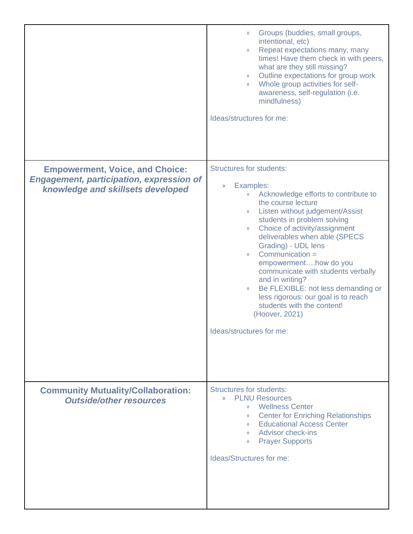|                                                                                                                                | Groups (buddies, small groups,<br>intentional, etc)<br>Repeat expectations many, many<br>$\Diamond$<br>times! Have them check in with peers,<br>what are they still missing?<br>Outline expectations for group work<br>$\lozenge$<br>Whole group activities for self-<br>$\lozenge$<br>awareness, self-regulation (i.e.<br>mindfulness)<br>Ideas/structures for me:                                                                                                                                                                                                                                                    |
|--------------------------------------------------------------------------------------------------------------------------------|------------------------------------------------------------------------------------------------------------------------------------------------------------------------------------------------------------------------------------------------------------------------------------------------------------------------------------------------------------------------------------------------------------------------------------------------------------------------------------------------------------------------------------------------------------------------------------------------------------------------|
| <b>Empowerment, Voice, and Choice:</b><br><b>Engagement, participation, expression of</b><br>knowledge and skillsets developed | <b>Structures for students:</b><br>Examples:<br>$\rangle$<br>Acknowledge efforts to contribute to<br>$\Diamond$<br>the course lecture<br>Listen without judgement/Assist<br>$\Diamond$<br>students in problem solving<br>Choice of activity/assignment<br>$\Diamond$<br>deliverables when able (SPECS<br>Grading) - UDL lens<br>Communication =<br>$\diamond$<br>empowermenthow do you<br>communicate with students verbally<br>and in writing?<br>Be FLEXIBLE: not less demanding or<br>$\Diamond$<br>less rigorous: our goal is to reach<br>students with the content!<br>(Hoover, 2021)<br>Ideas/structures for me: |
| <b>Community Mutuality/Collaboration:</b><br><b>Outside/other resources</b>                                                    | <b>Structures for students:</b><br>» PLNU Resources<br><b>Wellness Center</b><br>$\circ$<br><b>Center for Enriching Relationships</b><br>$\Diamond$<br><b>Educational Access Center</b><br>$\diamond$<br>◇ Advisor check-ins<br><b>Prayer Supports</b><br>$\Diamond$<br>Ideas/Structures for me:                                                                                                                                                                                                                                                                                                                       |